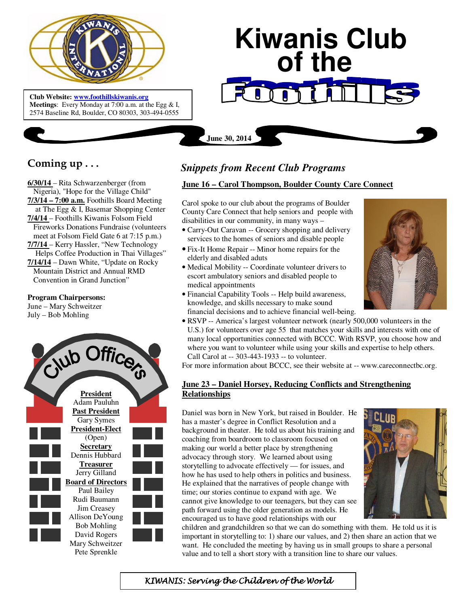

 **Meetings**: Every Monday at 7:00 a.m. at the Egg & I, **Club Website: www.foothillskiwanis.org** 2574 Baseline Rd, Boulder, CO 80303, 303-494-0555

# **Kiwanis Club of the**

# **Coming up . . .**

**6/30/14** – Rita Schwarzenberger (from Nigeria), "Hope for the Village Child" **7/3/14 – 7:00 a.m.** Foothills Board Meeting at The Egg & I, Basemar Shopping Center **7/4/14** – Foothills Kiwanis Folsom Field Fireworks Donations Fundraise (volunteers meet at Folsom Field Gate 6 at 7:15 p.m.) **7/7/14** – Kerry Hassler, "New Technology Helps Coffee Production in Thai Villages" **7/14/14** – Dawn White, "Update on Rocky Mountain District and Annual RMD Convention in Grand Junction"

#### **Program Chairpersons:**

June – Mary Schweitzer July – Bob Mohling



# *Snippets from Recent Club Programs*

**June 30, 2014**

#### **June 16 – Carol Thompson, Boulder County Care Connect**

Carol spoke to our club about the programs of Boulder County Care Connect that help seniors and people with disabilities in our community, in many ways –

- Carry-Out Caravan -- Grocery shopping and delivery services to the homes of seniors and disable people
- Fix-It Home Repair -- Minor home repairs for the elderly and disabled aduts
- Medical Mobility -- Coordinate volunteer drivers to escort ambulatory seniors and disabled people to medical appointments
- Financial Capability Tools -- Help build awareness, knowledge, and skills necessary to make sound financial decisions and to achieve financial well-being.



• RSVP -- America's largest volunteer network (nearly 500,000 volunteers in the U.S.) for volunteers over age 55 that matches your skills and interests with one of many local opportunities connected with BCCC. With RSVP, you choose how and where you want to volunteer while using your skills and expertise to help others. Call Carol at -- 303-443-1933 -- to volunteer.

For more information about BCCC, see their website at -- www.careconnectbc.org.

## **June 23 – Daniel Horsey, Reducing Conflicts and Strengthening Relationships**

Daniel was born in New York, but raised in Boulder. He has a master's degree in Conflict Resolution and a background in theater. He told us about his training and coaching from boardroom to classroom focused on making our world a better place by strengthening advocacy through story. We learned about using storytelling to advocate effectively — for issues, and how he has used to help others in politics and business. He explained that the narratives of people change with time; our stories continue to expand with age. We cannot give knowledge to our teenagers, but they can see path forward using the older generation as models. He encouraged us to have good relationships with our



children and grandchildren so that we can do something with them. He told us it is important in storytelling to: 1) share our values, and 2) then share an action that we want. He concluded the meeting by having us in small groups to share a personal value and to tell a short story with a transition line to share our values.

KIWANIS: Serving the Children of the World